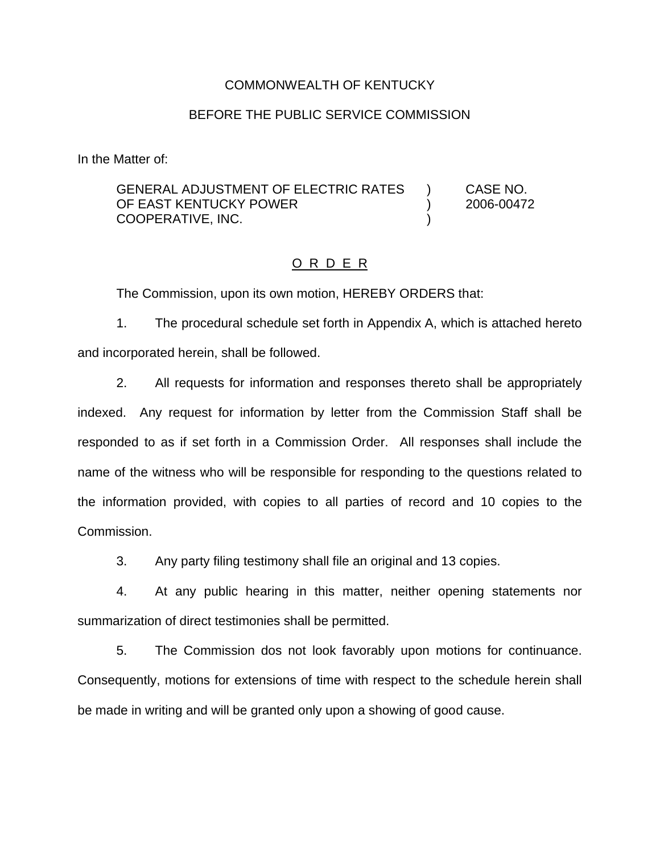#### COMMONWEALTH OF KENTUCKY

#### BEFORE THE PUBLIC SERVICE COMMISSION

In the Matter of:

GENERAL ADJUSTMENT OF ELECTRIC RATES ) CASE NO. OF EAST KENTUCKY POWER (2006-00472 COOPERATIVE, INC. )

### O R D E R

The Commission, upon its own motion, HEREBY ORDERS that:

1. The procedural schedule set forth in Appendix A, which is attached hereto and incorporated herein, shall be followed.

2. All requests for information and responses thereto shall be appropriately indexed. Any request for information by letter from the Commission Staff shall be responded to as if set forth in a Commission Order. All responses shall include the name of the witness who will be responsible for responding to the questions related to the information provided, with copies to all parties of record and 10 copies to the Commission.

3. Any party filing testimony shall file an original and 13 copies.

4. At any public hearing in this matter, neither opening statements nor summarization of direct testimonies shall be permitted.

5. The Commission dos not look favorably upon motions for continuance. Consequently, motions for extensions of time with respect to the schedule herein shall be made in writing and will be granted only upon a showing of good cause.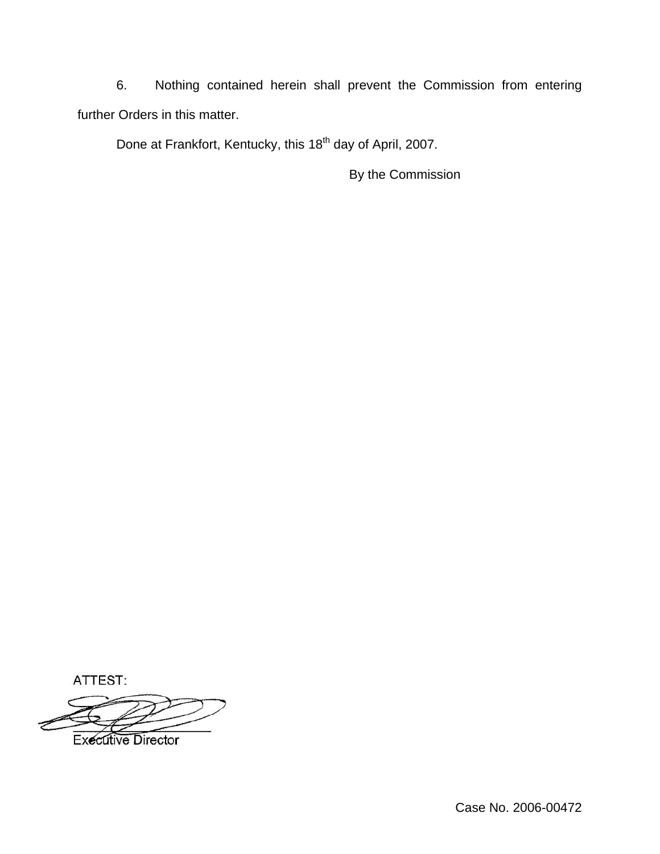6. Nothing contained herein shall prevent the Commission from entering further Orders in this matter.

Done at Frankfort, Kentucky, this 18<sup>th</sup> day of April, 2007.

By the Commission

ATTEST:

**Executive Director** 

Case No. 2006-00472